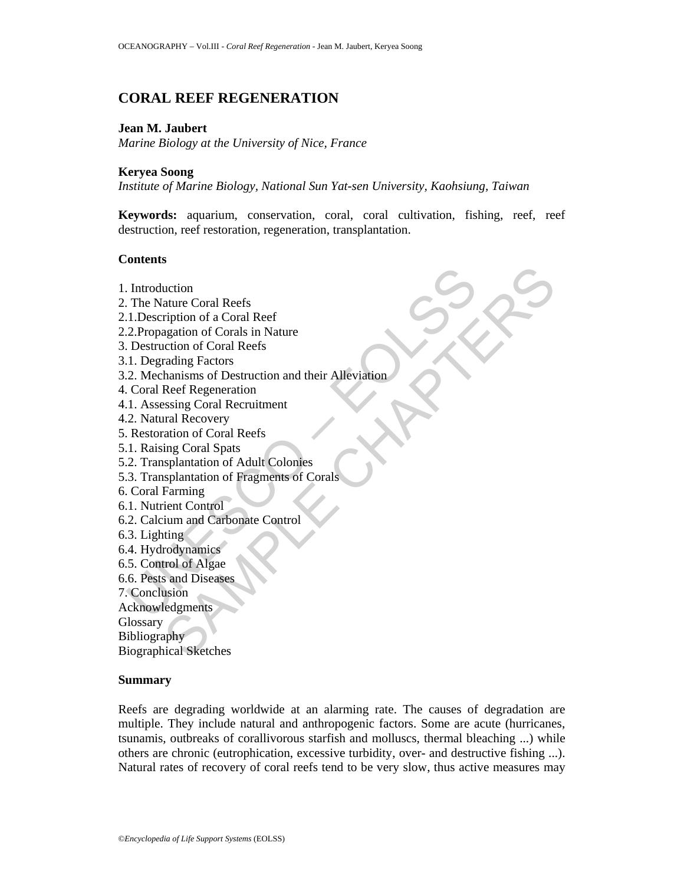# **CORAL REEF REGENERATION**

## **Jean M. Jaubert**

*Marine Biology at the University of Nice, France* 

## **Keryea Soong**

*Institute of Marine Biology, National Sun Yat-sen University, Kaohsiung, Taiwan* 

**Keywords:** aquarium, conservation, coral, coral cultivation, fishing, reef, reef destruction, reef restoration, regeneration, transplantation.

## **Contents**

Introduction<br>
The Nature Coral Reefs<br>
1. Description of a Coral Reef<br>
2. Propagation of Corals in Nature<br>
Destruction of Coral Reefs<br>
1. Degrading Factors<br>
1. Coral Reef Regeneration<br>
1. Assessing Coral Recruitment<br>
2. Nat uction<br>
ature Coral Reefs<br>
ription of a Coral Reef<br>
ription of Coral Reefs<br>
retion of Coral Reefs<br>
rading Factors<br>
reading Factors<br>
ansissing Coral Reefs<br>
sesing Coral Spectruitment<br>
radi Recovery<br>
ration of Coral Spectrui 1. Introduction 2. The Nature Coral Reefs 2.1.Description of a Coral Reef 2.2.Propagation of Corals in Nature 3. Destruction of Coral Reefs 3.1. Degrading Factors 3.2. Mechanisms of Destruction and their Alleviation 4. Coral Reef Regeneration 4.1. Assessing Coral Recruitment 4.2. Natural Recovery 5. Restoration of Coral Reefs 5.1. Raising Coral Spats 5.2. Transplantation of Adult Colonies 5.3. Transplantation of Fragments of Corals 6. Coral Farming 6.1. Nutrient Control 6.2. Calcium and Carbonate Control 6.3. Lighting 6.4. Hydrodynamics 6.5. Control of Algae 6.6. Pests and Diseases 7. Conclusion Acknowledgments **Glossary** Bibliography Biographical Sketches **Summary** 

Reefs are degrading worldwide at an alarming rate. The causes of degradation are multiple. They include natural and anthropogenic factors. Some are acute (hurricanes, tsunamis, outbreaks of corallivorous starfish and molluscs, thermal bleaching ...) while others are chronic (eutrophication, excessive turbidity, over- and destructive fishing ...). Natural rates of recovery of coral reefs tend to be very slow, thus active measures may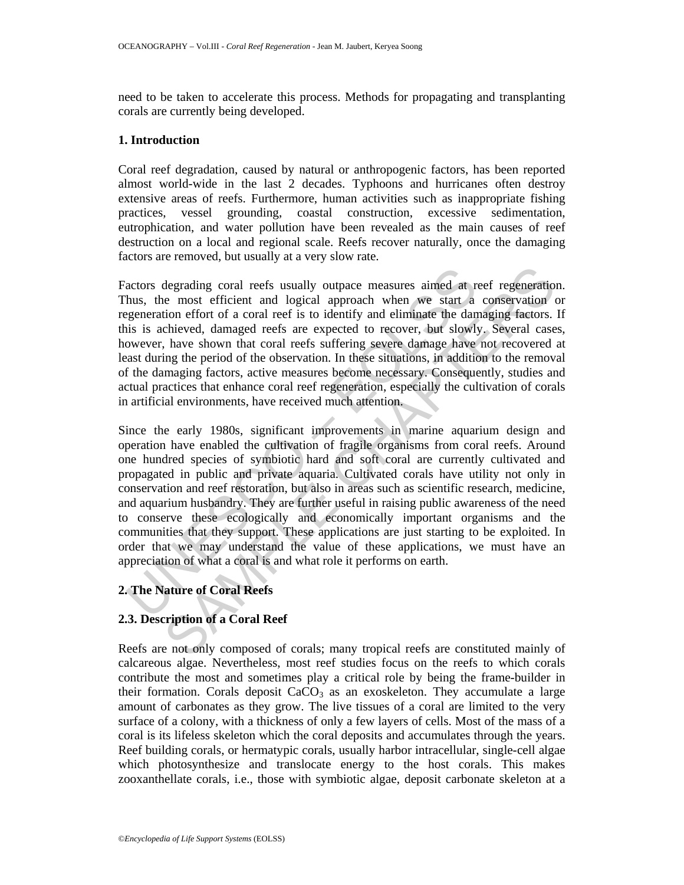need to be taken to accelerate this process. Methods for propagating and transplanting corals are currently being developed.

## **1. Introduction**

Coral reef degradation, caused by natural or anthropogenic factors, has been reported almost world-wide in the last 2 decades. Typhoons and hurricanes often destroy extensive areas of reefs. Furthermore, human activities such as inappropriate fishing practices, vessel grounding, coastal construction, excessive sedimentation, eutrophication, and water pollution have been revealed as the main causes of reef destruction on a local and regional scale. Reefs recover naturally, once the damaging factors are removed, but usually at a very slow rate.

Factors degrading coral reefs usually outpace measures aimed at reef regeneration. Thus, the most efficient and logical approach when we start a conservation or regeneration effort of a coral reef is to identify and eliminate the damaging factors. If this is achieved, damaged reefs are expected to recover, but slowly. Several cases, however, have shown that coral reefs suffering severe damage have not recovered at least during the period of the observation. In these situations, in addition to the removal of the damaging factors, active measures become necessary. Consequently, studies and actual practices that enhance coral reef regeneration, especially the cultivation of corals in artificial environments, have received much attention.

actors degrading coral reefs usually outpace measures aimed at hus, the most efficient and logical approach when we start a generation effort of a coral reef is to identify and eliminate the dan is is achieved, damaged ree degrading coral recfs usually outpace measures aimed at reef regeneration<br>the most efficient and logical approach when we start a conservation<br>tion effort of a coral reef is to identify and eliminate the damaging factors.<br> Since the early 1980s, significant improvements in marine aquarium design and operation have enabled the cultivation of fragile organisms from coral reefs. Around one hundred species of symbiotic hard and soft coral are currently cultivated and propagated in public and private aquaria. Cultivated corals have utility not only in conservation and reef restoration, but also in areas such as scientific research, medicine, and aquarium husbandry. They are further useful in raising public awareness of the need to conserve these ecologically and economically important organisms and the communities that they support. These applications are just starting to be exploited. In order that we may understand the value of these applications, we must have an appreciation of what a coral is and what role it performs on earth.

## **2. The Nature of Coral Reefs**

## **2.3. Description of a Coral Reef**

Reefs are not only composed of corals; many tropical reefs are constituted mainly of calcareous algae. Nevertheless, most reef studies focus on the reefs to which corals contribute the most and sometimes play a critical role by being the frame-builder in their formation. Corals deposit  $CaCO<sub>3</sub>$  as an exoskeleton. They accumulate a large amount of carbonates as they grow. The live tissues of a coral are limited to the very surface of a colony, with a thickness of only a few layers of cells. Most of the mass of a coral is its lifeless skeleton which the coral deposits and accumulates through the years. Reef building corals, or hermatypic corals, usually harbor intracellular, single-cell algae which photosynthesize and translocate energy to the host corals. This makes zooxanthellate corals, i.e., those with symbiotic algae, deposit carbonate skeleton at a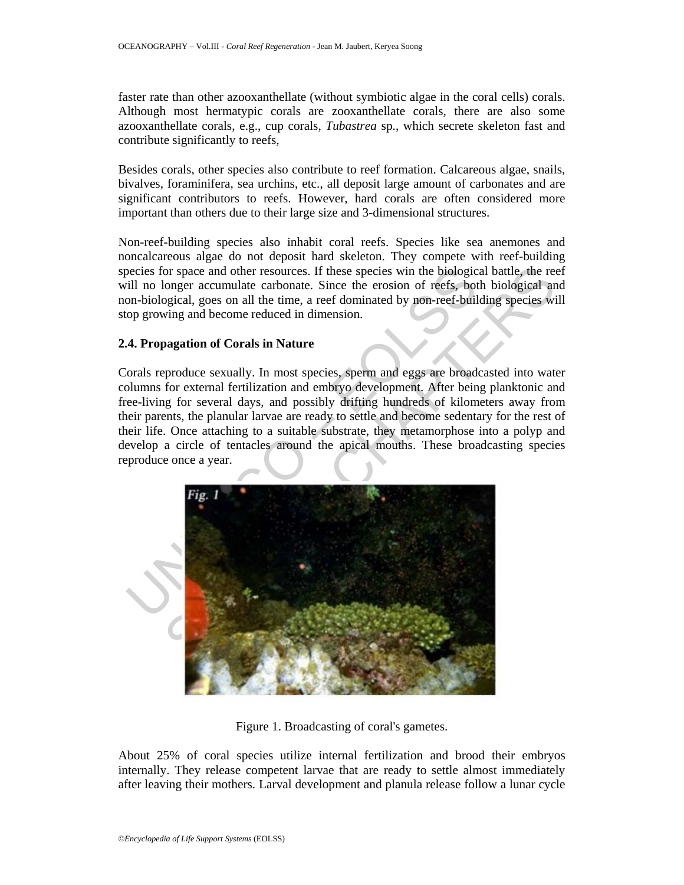faster rate than other azooxanthellate (without symbiotic algae in the coral cells) corals. Although most hermatypic corals are zooxanthellate corals, there are also some azooxanthellate corals, e.g., cup corals, *Tubastrea* sp., which secrete skeleton fast and contribute significantly to reefs,

Besides corals, other species also contribute to reef formation. Calcareous algae, snails, bivalves, foraminifera, sea urchins, etc., all deposit large amount of carbonates and are significant contributors to reefs. However, hard corals are often considered more important than others due to their large size and 3-dimensional structures.

Non-reef-building species also inhabit coral reefs. Species like sea anemones and noncalcareous algae do not deposit hard skeleton. They compete with reef-building species for space and other resources. If these species win the biological battle, the reef will no longer accumulate carbonate. Since the erosion of reefs, both biological and non-biological, goes on all the time, a reef dominated by non-reef-building species will stop growing and become reduced in dimension.

## **2.4. Propagation of Corals in Nature**

Corals reproduce sexually. In most species, sperm and eggs are broadcasted into water columns for external fertilization and embryo development. After being planktonic and free-living for several days, and possibly drifting hundreds of kilometers away from their parents, the planular larvae are ready to settle and become sedentary for the rest of their life. Once attaching to a suitable substrate, they metamorphose into a polyp and develop a circle of tentacles around the apical mouths. These broadcasting species reproduce once a year.



Figure 1. Broadcasting of coral's gametes.

About 25% of coral species utilize internal fertilization and brood their embryos internally. They release competent larvae that are ready to settle almost immediately after leaving their mothers. Larval development and planula release follow a lunar cycle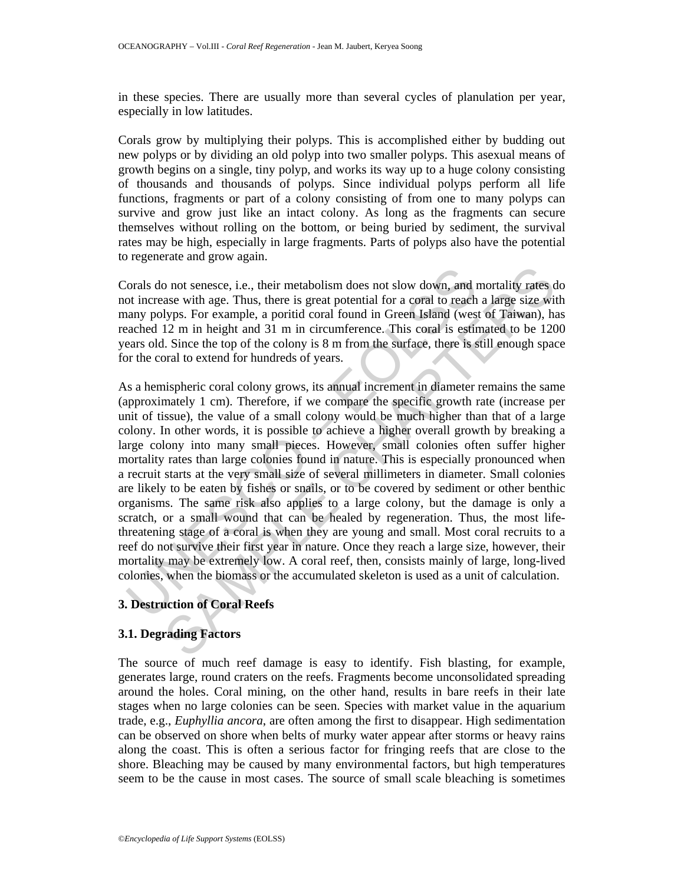in these species. There are usually more than several cycles of planulation per year, especially in low latitudes.

Corals grow by multiplying their polyps. This is accomplished either by budding out new polyps or by dividing an old polyp into two smaller polyps. This asexual means of growth begins on a single, tiny polyp, and works its way up to a huge colony consisting of thousands and thousands of polyps. Since individual polyps perform all life functions, fragments or part of a colony consisting of from one to many polyps can survive and grow just like an intact colony. As long as the fragments can secure themselves without rolling on the bottom, or being buried by sediment, the survival rates may be high, especially in large fragments. Parts of polyps also have the potential to regenerate and grow again.

Corals do not senesce, i.e., their metabolism does not slow down, and mortality rates do not increase with age. Thus, there is great potential for a coral to reach a large size with many polyps. For example, a poritid coral found in Green Island (west of Taiwan), has reached 12 m in height and 31 m in circumference. This coral is estimated to be 1200 years old. Since the top of the colony is 8 m from the surface, there is still enough space for the coral to extend for hundreds of years.

orals do not senesce, i.e., their metabolism does not slow down, and to tincrease with age. Thus, there is great potential for a coral to reach analy polyps. For example, a poritid coral found in Green Island (westached 12 by on the state of the metallolism does not slow down, and mortality rates are with age. Thus, there is great potential for a coral to reach a large size with lyps. For example, a portitid coral found in Green Island (west As a hemispheric coral colony grows, its annual increment in diameter remains the same (approximately 1 cm). Therefore, if we compare the specific growth rate (increase per unit of tissue), the value of a small colony would be much higher than that of a large colony. In other words, it is possible to achieve a higher overall growth by breaking a large colony into many small pieces. However, small colonies often suffer higher mortality rates than large colonies found in nature. This is especially pronounced when a recruit starts at the very small size of several millimeters in diameter. Small colonies are likely to be eaten by fishes or snails, or to be covered by sediment or other benthic organisms. The same risk also applies to a large colony, but the damage is only a scratch, or a small wound that can be healed by regeneration. Thus, the most lifethreatening stage of a coral is when they are young and small. Most coral recruits to a reef do not survive their first year in nature. Once they reach a large size, however, their mortality may be extremely low. A coral reef, then, consists mainly of large, long-lived colonies, when the biomass or the accumulated skeleton is used as a unit of calculation.

## **3. Destruction of Coral Reefs**

## **3.1. Degrading Factors**

The source of much reef damage is easy to identify. Fish blasting, for example, generates large, round craters on the reefs. Fragments become unconsolidated spreading around the holes. Coral mining, on the other hand, results in bare reefs in their late stages when no large colonies can be seen. Species with market value in the aquarium trade, e.g., *Euphyllia ancora*, are often among the first to disappear. High sedimentation can be observed on shore when belts of murky water appear after storms or heavy rains along the coast. This is often a serious factor for fringing reefs that are close to the shore. Bleaching may be caused by many environmental factors, but high temperatures seem to be the cause in most cases. The source of small scale bleaching is sometimes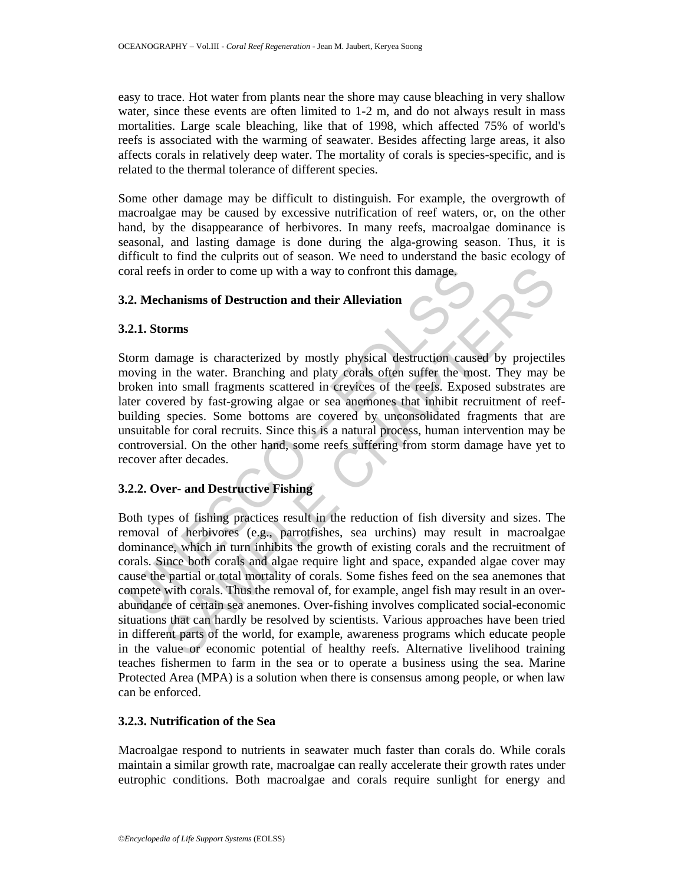easy to trace. Hot water from plants near the shore may cause bleaching in very shallow water, since these events are often limited to 1-2 m, and do not always result in mass mortalities. Large scale bleaching, like that of 1998, which affected 75% of world's reefs is associated with the warming of seawater. Besides affecting large areas, it also affects corals in relatively deep water. The mortality of corals is species-specific, and is related to the thermal tolerance of different species.

Some other damage may be difficult to distinguish. For example, the overgrowth of macroalgae may be caused by excessive nutrification of reef waters, or, on the other hand, by the disappearance of herbivores. In many reefs, macroalgae dominance is seasonal, and lasting damage is done during the alga-growing season. Thus, it is difficult to find the culprits out of season. We need to understand the basic ecology of coral reefs in order to come up with a way to confront this damage.

## **3.2. Mechanisms of Destruction and their Alleviation**

## **3.2.1. Storms**

ord reefs in order to come up with a way to confront this damage.<br>
2. Mechanisms of Destruction and their Alleviation<br>
2.1. Storms<br>
2.1. Storms<br>
1. Storms<br>
1. Storms<br>
1. Storms<br>
1. Storms<br>
1. Storms<br>
1. Storms<br>
1. Storms<br> Storm damage is characterized by mostly physical destruction caused by projectiles moving in the water. Branching and platy corals often suffer the most. They may be broken into small fragments scattered in crevices of the reefs. Exposed substrates are later covered by fast-growing algae or sea anemones that inhibit recruitment of reefbuilding species. Some bottoms are covered by unconsolidated fragments that are unsuitable for coral recruits. Since this is a natural process, human intervention may be controversial. On the other hand, some reefs suffering from storm damage have yet to recover after decades.

## **3.2.2. Over- and Destructive Fishing**

In order to come up with a way to confront this damage,<br> **hanisms of Destruction and their Alleviation**<br> **orms**<br> **anisms** of Destruction and their Alleviation<br> **orms**<br> **anisms** is characterized by mostly physical destructi Both types of fishing practices result in the reduction of fish diversity and sizes. The removal of herbivores (e.g., parrotfishes, sea urchins) may result in macroalgae dominance, which in turn inhibits the growth of existing corals and the recruitment of corals. Since both corals and algae require light and space, expanded algae cover may cause the partial or total mortality of corals. Some fishes feed on the sea anemones that compete with corals. Thus the removal of, for example, angel fish may result in an overabundance of certain sea anemones. Over-fishing involves complicated social-economic situations that can hardly be resolved by scientists. Various approaches have been tried in different parts of the world, for example, awareness programs which educate people in the value or economic potential of healthy reefs. Alternative livelihood training teaches fishermen to farm in the sea or to operate a business using the sea. Marine Protected Area (MPA) is a solution when there is consensus among people, or when law can be enforced.

## **3.2.3. Nutrification of the Sea**

Macroalgae respond to nutrients in seawater much faster than corals do. While corals maintain a similar growth rate, macroalgae can really accelerate their growth rates under eutrophic conditions. Both macroalgae and corals require sunlight for energy and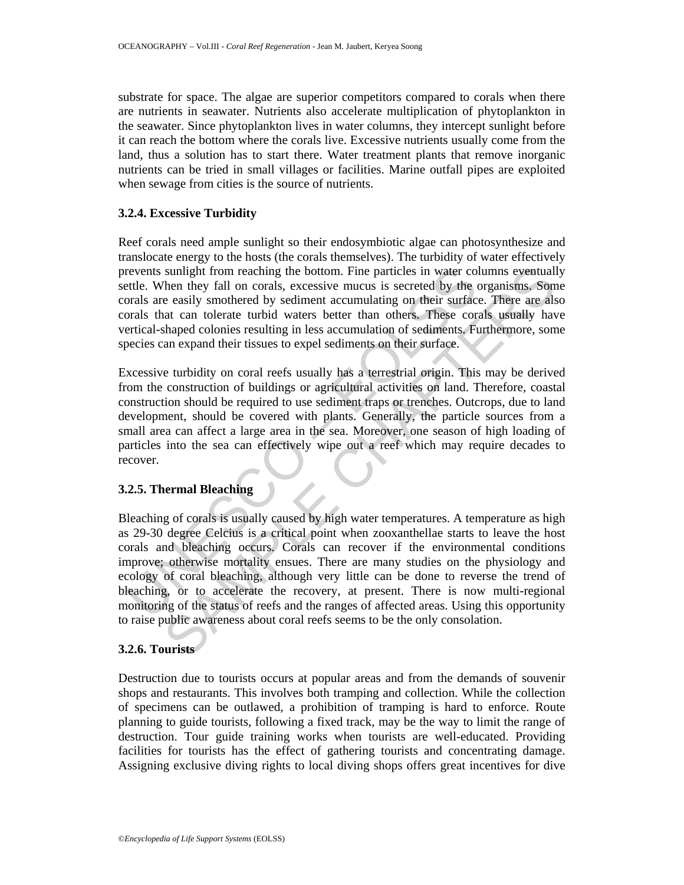substrate for space. The algae are superior competitors compared to corals when there are nutrients in seawater. Nutrients also accelerate multiplication of phytoplankton in the seawater. Since phytoplankton lives in water columns, they intercept sunlight before it can reach the bottom where the corals live. Excessive nutrients usually come from the land, thus a solution has to start there. Water treatment plants that remove inorganic nutrients can be tried in small villages or facilities. Marine outfall pipes are exploited when sewage from cities is the source of nutrients.

## **3.2.4. Excessive Turbidity**

Reef corals need ample sunlight so their endosymbiotic algae can photosynthesize and translocate energy to the hosts (the corals themselves). The turbidity of water effectively prevents sunlight from reaching the bottom. Fine particles in water columns eventually settle. When they fall on corals, excessive mucus is secreted by the organisms. Some corals are easily smothered by sediment accumulating on their surface. There are also corals that can tolerate turbid waters better than others. These corals usually have vertical-shaped colonies resulting in less accumulation of sediments. Furthermore, some species can expand their tissues to expel sediments on their surface.

Excessive turbidity on coral reefs usually has a terrestrial origin. This may be derived from the construction of buildings or agricultural activities on land. Therefore, coastal construction should be required to use sediment traps or trenches. Outcrops, due to land development, should be covered with plants. Generally, the particle sources from a small area can affect a large area in the sea. Moreover, one season of high loading of particles into the sea can effectively wipe out a reef which may require decades to recover.

#### **3.2.5. Thermal Bleaching**

revents sunlight from reaching the bottom. Fine particles in water correct the. When they fall on corals, excessive mucus is secreted by the evaluation are easily smothered by sediment accumulation or their surface aroused sunlight from reaching the bottom. Fine particles in water columns eventuall<br>then they fall on corals, excesive mucus is secreted by the organisms. Some<br>the e easily smothered by sediment accumulating on their surface. The Bleaching of corals is usually caused by high water temperatures. A temperature as high as 29-30 degree Celcius is a critical point when zooxanthellae starts to leave the host corals and bleaching occurs. Corals can recover if the environmental conditions improve; otherwise mortality ensues. There are many studies on the physiology and ecology of coral bleaching, although very little can be done to reverse the trend of bleaching, or to accelerate the recovery, at present. There is now multi-regional monitoring of the status of reefs and the ranges of affected areas. Using this opportunity to raise public awareness about coral reefs seems to be the only consolation.

#### **3.2.6. Tourists**

Destruction due to tourists occurs at popular areas and from the demands of souvenir shops and restaurants. This involves both tramping and collection. While the collection of specimens can be outlawed, a prohibition of tramping is hard to enforce. Route planning to guide tourists, following a fixed track, may be the way to limit the range of destruction. Tour guide training works when tourists are well-educated. Providing facilities for tourists has the effect of gathering tourists and concentrating damage. Assigning exclusive diving rights to local diving shops offers great incentives for dive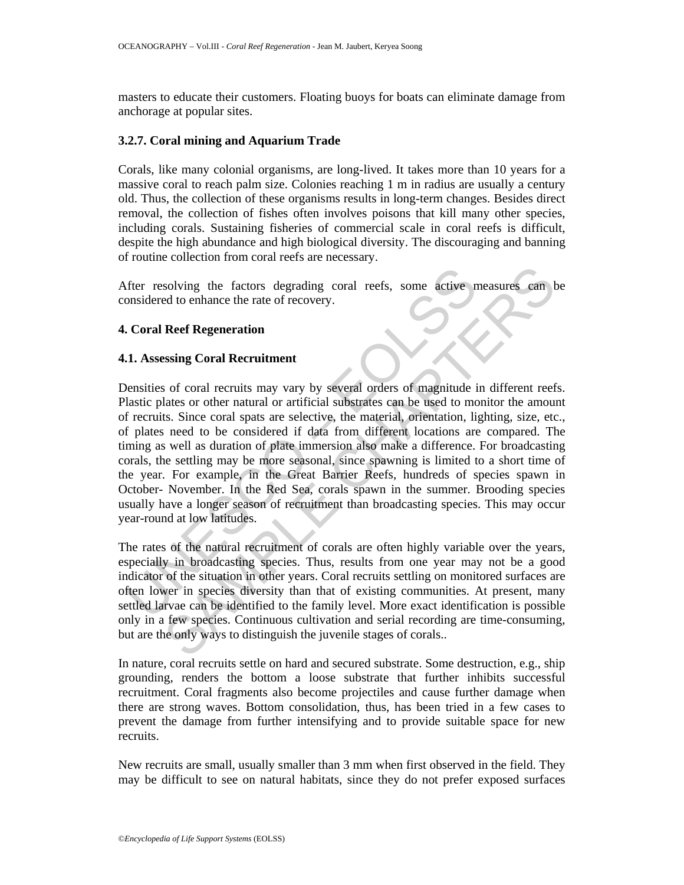masters to educate their customers. Floating buoys for boats can eliminate damage from anchorage at popular sites.

### **3.2.7. Coral mining and Aquarium Trade**

Corals, like many colonial organisms, are long-lived. It takes more than 10 years for a massive coral to reach palm size. Colonies reaching 1 m in radius are usually a century old. Thus, the collection of these organisms results in long-term changes. Besides direct removal, the collection of fishes often involves poisons that kill many other species, including corals. Sustaining fisheries of commercial scale in coral reefs is difficult, despite the high abundance and high biological diversity. The discouraging and banning of routine collection from coral reefs are necessary.

After resolving the factors degrading coral reefs, some active measures can be considered to enhance the rate of recovery.

### **4. Coral Reef Regeneration**

### **4.1. Assessing Coral Recruitment**

fter resolving the factors degrading coral reefs, some active nonsidered to enhance the rate of recovery.<br> **Coral Reef Regeneration**<br>
1. Assessing Coral recruits may vary by several orders of magnitude idastic plates or ot solving the factors degrading coral reefs, some active measures can be<br>d to enhance the rate of recovery.<br>**Reef Regeneration**<br>Sing Coral Recruitment<br>of coral recruits may vary by several orders of magnitude in different re Densities of coral recruits may vary by several orders of magnitude in different reefs. Plastic plates or other natural or artificial substrates can be used to monitor the amount of recruits. Since coral spats are selective, the material, orientation, lighting, size, etc., of plates need to be considered if data from different locations are compared. The timing as well as duration of plate immersion also make a difference. For broadcasting corals, the settling may be more seasonal, since spawning is limited to a short time of the year. For example, in the Great Barrier Reefs, hundreds of species spawn in October- November. In the Red Sea, corals spawn in the summer. Brooding species usually have a longer season of recruitment than broadcasting species. This may occur year-round at low latitudes.

The rates of the natural recruitment of corals are often highly variable over the years, especially in broadcasting species. Thus, results from one year may not be a good indicator of the situation in other years. Coral recruits settling on monitored surfaces are often lower in species diversity than that of existing communities. At present, many settled larvae can be identified to the family level. More exact identification is possible only in a few species. Continuous cultivation and serial recording are time-consuming, but are the only ways to distinguish the juvenile stages of corals..

In nature, coral recruits settle on hard and secured substrate. Some destruction, e.g., ship grounding, renders the bottom a loose substrate that further inhibits successful recruitment. Coral fragments also become projectiles and cause further damage when there are strong waves. Bottom consolidation, thus, has been tried in a few cases to prevent the damage from further intensifying and to provide suitable space for new recruits.

New recruits are small, usually smaller than 3 mm when first observed in the field. They may be difficult to see on natural habitats, since they do not prefer exposed surfaces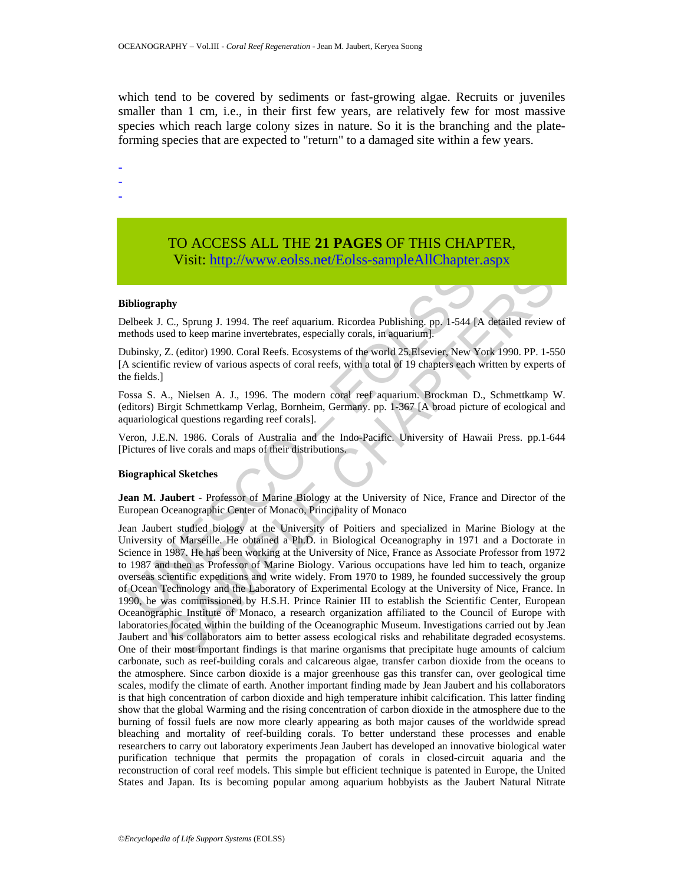which tend to be covered by sediments or fast-growing algae. Recruits or juveniles smaller than 1 cm, i.e., in their first few years, are relatively few for most massive species which reach large colony sizes in nature. So it is the branching and the plateforming species that are expected to "return" to a damaged site within a few years.

-

-

-

# TO ACCESS ALL THE **21 PAGES** OF THIS CHAPTER, Visit: http://www.eolss.net/Eolss-sampleAllChapter.aspx

#### **Bibliography**

Delbeek J. C., Sprung J. 1994. The reef aquarium. Ricordea Publishing. pp. 1-544 [A detailed review of methods used to keep marine invertebrates, especially corals, in aquarium].

Dubinsky, Z. (editor) 1990. Coral Reefs. Ecosystems of the world 25.Elsevier, New York 1990. PP. 1-550 [A scientific review of various aspects of coral reefs, with a total of 19 chapters each written by experts of the fields.]

Fossa S. A., Nielsen A. J., 1996. The modern coral reef aquarium. Brockman D., Schmettkamp W. (editors) Birgit Schmettkamp Verlag, Bornheim, Germany. pp. 1-367 [A broad picture of ecological and aquariological questions regarding reef corals].

Veron, J.E.N. 1986. Corals of Australia and the Indo-Pacific. University of Hawaii Press. pp.1-644 [Pictures of live corals and maps of their distributions.

#### **Biographical Sketches**

**Jean M. Jaubert** - Professor of Marine Biology at the University of Nice, France and Director of the European Oceanographic Center of Monaco, Principality of Monaco

ibliography<br>
elbeck J. C., Sprung J. 1994. The reef aquarium. Ricordea Publishing. pp. 1-544 [<br>
ethods used to keep marine invertebrates, especially corals, in aquarium].<br>
ubinsky, Z. (editor) 1990. Coral Reefs. Ecosystems The Technology at the University of Poites and [S](https://www.eolss.net/ebooklib/sc_cart.aspx?File=E6-18-07-03)pecialized in Normalton Chapter is bosonically consisted to keep marine invertebrates, especially corals, in aquarium].<br>
Z. (editor) 1990. Coral Reefs. Ecosystems of the worl Jean Jaubert studied biology at the University of Poitiers and specialized in Marine Biology at the University of Marseille. He obtained a Ph.D. in Biological Oceanography in 1971 and a Doctorate in Science in 1987. He has been working at the University of Nice, France as Associate Professor from 1972 to 1987 and then as Professor of Marine Biology. Various occupations have led him to teach, organize overseas scientific expeditions and write widely. From 1970 to 1989, he founded successively the group of Ocean Technology and the Laboratory of Experimental Ecology at the University of Nice, France. In 1990, he was commissioned by H.S.H. Prince Rainier III to establish the Scientific Center, European Oceanographic Institute of Monaco, a research organization affiliated to the Council of Europe with laboratories located within the building of the Oceanographic Museum. Investigations carried out by Jean Jaubert and his collaborators aim to better assess ecological risks and rehabilitate degraded ecosystems. One of their most important findings is that marine organisms that precipitate huge amounts of calcium carbonate, such as reef-building corals and calcareous algae, transfer carbon dioxide from the oceans to the atmosphere. Since carbon dioxide is a major greenhouse gas this transfer can, over geological time scales, modify the climate of earth. Another important finding made by Jean Jaubert and his collaborators is that high concentration of carbon dioxide and high temperature inhibit calcification. This latter finding show that the global Warming and the rising concentration of carbon dioxide in the atmosphere due to the burning of fossil fuels are now more clearly appearing as both major causes of the worldwide spread bleaching and mortality of reef-building corals. To better understand these processes and enable researchers to carry out laboratory experiments Jean Jaubert has developed an innovative biological water purification technique that permits the propagation of corals in closed-circuit aquaria and the reconstruction of coral reef models. This simple but efficient technique is patented in Europe, the United States and Japan. Its is becoming popular among aquarium hobbyists as the Jaubert Natural Nitrate